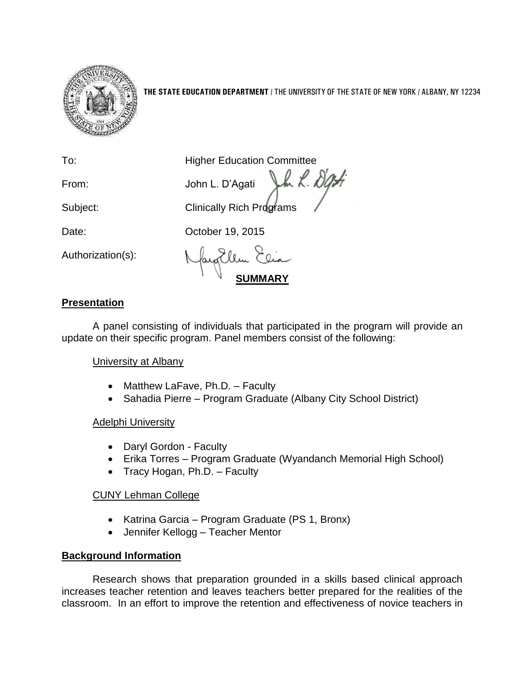

**THE STATE EDUCATION DEPARTMENT** / THE UNIVERSITY OF THE STATE OF NEW YORK / ALBANY, NY 12234

To: **Higher Education Committee** 

From: John L. D'Agati

Subject: Clinically Rich Programs

Date: **Date:** October 19, 2015

Authorization(s):

**SUMMARY**

# **Presentation**

A panel consisting of individuals that participated in the program will provide an update on their specific program. Panel members consist of the following:

## University at Albany

- Matthew LaFave, Ph.D. Faculty
- Sahadia Pierre Program Graduate (Albany City School District)

## Adelphi University

- Daryl Gordon Faculty
- Erika Torres Program Graduate (Wyandanch Memorial High School)
- Tracy Hogan, Ph.D. Faculty

## CUNY Lehman College

- Katrina Garcia Program Graduate (PS 1, Bronx)
- Jennifer Kellogg Teacher Mentor

## **Background Information**

Research shows that preparation grounded in a skills based clinical approach increases teacher retention and leaves teachers better prepared for the realities of the classroom. In an effort to improve the retention and effectiveness of novice teachers in